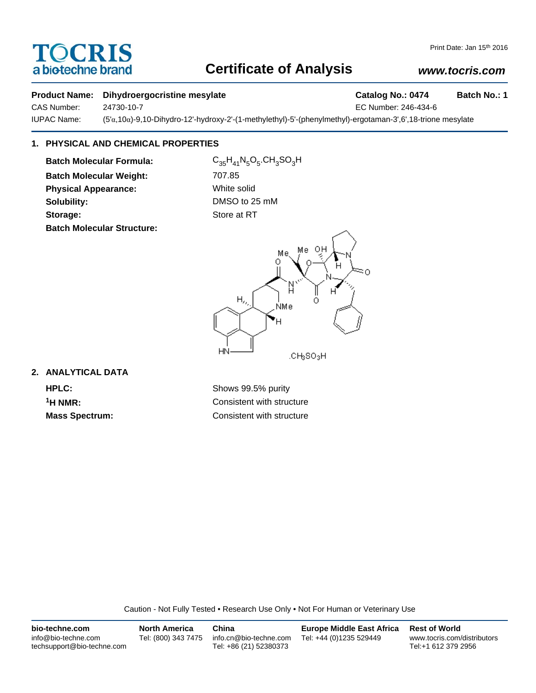# **TOCRIS** a biotechne brand

## **Certificate of Analysis**

## *www.tocris.com*

### **Product Name:** Dihydroergocristine mesylate **Catalog No.: 0474** Batch No.: 1

CAS Number: 24730-10-7 EC Number: 246-434-6

IUPAC Name: (5'α,10α)-9,10-Dihydro-12'-hydroxy-2'-(1-methylethyl)-5'-(phenylmethyl)-ergotaman-3',6',18-trione mesylate

## **1. PHYSICAL AND CHEMICAL PROPERTIES**

**Batch Molecular Formula:** C<sub>35</sub>H<sub>41</sub>N<sub>5</sub>O<sub>5</sub>.CH<sub>3</sub>SO<sub>3</sub>H **Batch Molecular Weight:** 707.85 **Physical Appearance:** White solid **Solubility:** DMSO to 25 mM **Storage:** Store at RT **Batch Molecular Structure:**



## **2. ANALYTICAL DATA**

**HPLC:** Shows 99.5% purity **1H NMR:** Consistent with structure **Mass Spectrum:** Consistent with structure

Caution - Not Fully Tested • Research Use Only • Not For Human or Veterinary Use

| bio-techne.com                                    | North America       | China                                            | <b>Europe Middle East Africa</b> | <b>Rest of World</b>                               |
|---------------------------------------------------|---------------------|--------------------------------------------------|----------------------------------|----------------------------------------------------|
| info@bio-techne.com<br>techsupport@bio-techne.com | Tel: (800) 343 7475 | info.cn@bio-techne.com<br>Tel: +86 (21) 52380373 | Tel: +44 (0)1235 529449          | www.tocris.com/distributors<br>Tel:+1 612 379 2956 |